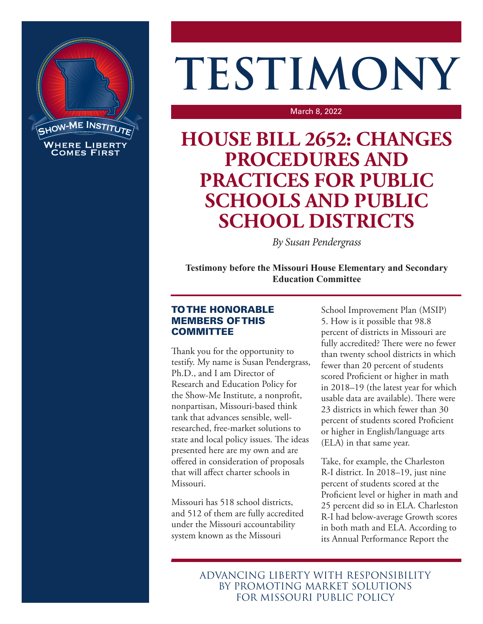

## **TESTIMONY**

March 8, 2022

## **HOUSE BILL 2652: CHANGES PROCEDURES AND PRACTICES FOR PUBLIC SCHOOLS AND PUBLIC SCHOOL DISTRICTS**

*By Susan Pendergrass*

**Testimony before the Missouri House Elementary and Secondary Education Committee**

## TO THE HONORABLE MEMBERS OF THIS **COMMITTEE**

Thank you for the opportunity to testify. My name is Susan Pendergrass, Ph.D., and I am Director of Research and Education Policy for the Show-Me Institute, a nonprofit, nonpartisan, Missouri-based think tank that advances sensible, wellresearched, free-market solutions to state and local policy issues. The ideas presented here are my own and are offered in consideration of proposals that will affect charter schools in Missouri.

Missouri has 518 school districts, and 512 of them are fully accredited under the Missouri accountability system known as the Missouri

School Improvement Plan (MSIP) 5. How is it possible that 98.8 percent of districts in Missouri are fully accredited? There were no fewer than twenty school districts in which fewer than 20 percent of students scored Proficient or higher in math in 2018–19 (the latest year for which usable data are available). There were 23 districts in which fewer than 30 percent of students scored Proficient or higher in English/language arts (ELA) in that same year.

Take, for example, the Charleston R-I district. In 2018–19, just nine percent of students scored at the Proficient level or higher in math and 25 percent did so in ELA. Charleston R-I had below-average Growth scores in both math and ELA. According to its Annual Performance Report the

ADVANCING LIBERTY WITH RESPONSIBILITY BY PROMOTING MARKET SOLUTIONS FOR MISSOURI PUBLIC POLICY